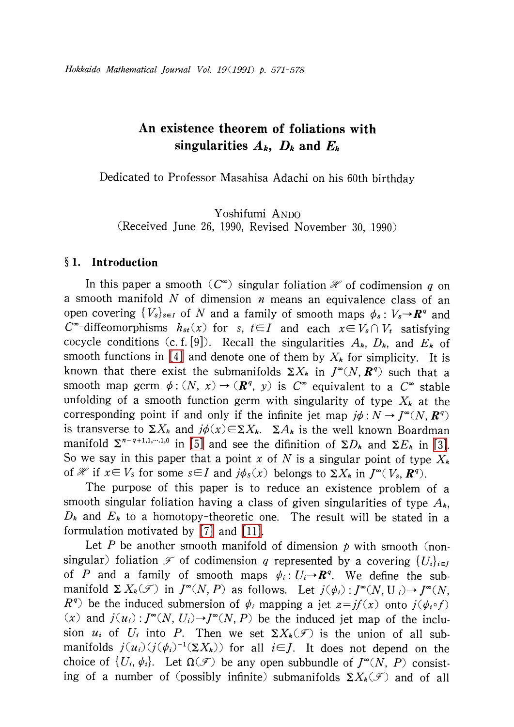# An existence theorem of foliations with singularities  $A_{k}$ ,  $D_{k}$  and  $E_{k}$

Dedicated to Professor Masahisa Adachi on his 60th birthday

Yoshifumi ANDO (Received June 26, 1990, Revised November 30, 1990)

## § 1. Introduction

In this paper a smooth ( $C^{\infty}$ ) singular foliation  $\mathcal{H}$  of codimension q on a smooth manifold  $N$  of dimension  $n$  means an equivalence class of an open covering  $\{ V_{s}\}_{s\in I}$  of N and a family of smooth maps  $\phi_{s} : V_{s} \rightarrow \mathbb{R}^{q}$  and  $C^{\infty}$ -diffeomorphisms  $h_{st}(x)$  for s,  $t\in I$  and each  $x\in V_{s}\cap V_{t}$  satisfying cocycle conditions (c. f. [9]). Recall the singularities  $A_{k}$ ,  $D_{k}$ , and  $E_{k}$  of smooth functions in [\[4\]](#page-7-0) and denote one of them by  $X_{k}$  for simplicity. It is known that there exist the submanifolds  $\Sigma X_{k}$  in  $J^{\infty}(N, \mathbb{R}^{q})$  such that a smooth map germ  $\phi:(N, x)\rightarrow(R^{q}, y)$  is  $C^{\infty}$  equivalent to a  $C^{\infty}$  stable unfolding of a smooth function germ with singularity of type  $X_{k}$  at the corresponding point if and only if the infinite jet map  $j\phi:N\rightarrow J^{\infty}(N, R^{q})$ is transverse to  $\Sigma X_{k}$  and  $j\phi(x){\in}\Sigma X_{k}$ .  $\Sigma A_{k}$  is the well known Boardman manifold  $\Sigma^{n-q+1,1,\dots,1,0}$  in [\[5\]](#page-7-1) and see the difinition of  $\Sigma D_{k}$  and  $\Sigma E_{k}$  in [\[3\].](#page-7-2) So we say in this paper that a point x of N is a singular point of type  $X_{k}$ of  $\mathcal{H}$  if  $x\in V_{S}$  for some  $s\in I$  and  $j\phi_{S}(x)$  belongs to  $\Sigma X_{k}$  in  $J^{\infty}(V_{s}, R^{q})$ .

The purpose of this paper is to reduce an existence problem of a smooth singular foliation having a class of given singularities of type  $A_{\boldsymbol{k}},$  $D_{k}$  and  $E_{k}$  to a homotopy-theoretic one. The result will be stated in a formulation motivated by [\[7\]](#page-7-3) and [\[11\].](#page-7-4)

Let  $P$  be another smooth manifold of dimension  $p$  with smooth (nonsingular) foliation  $\mathcal{F}$  of codimension q represented by a covering  $\{ U_{i}\}_{i\in J}$ of P and a family of smooth maps  $\psi_{i} : U_{i} \rightarrow \mathbb{R}^{q}$ . We define the submanifold  $\Sigma$   $X_{k}(\mathscr{F})$  in  $J^{\infty}(N, P)$  as follows. Let  $j(\psi_{i})$  :  $J^{\infty}(N, U_{i})$   $\rightarrow$   $J^{\infty}(N,$  $R^{q}$ ) be the induced submersion of  $\psi_{i}$  mapping a jet  $z=jf(x)$  onto  $j(\psi_{i}\circ f)$ (x) and  $j(u_{i}): J^{\infty}(N, U_{i})\rightarrow J^{\infty}(N, P)$  be the induced jet map of the inclusion  $u_{i}$  of  $U_{i}$  into P. Then we set  $\Sigma X_{k}(\mathcal{F})$  is the union of all submanifolds  $j(u_{i})(j(\psi_{i})^{-1}(\Sigma X_{k}))$  for all  $i\in J$ . It does not depend on the choice of  $\{ U_{i}, \psi_{i}\}$ . Let  $\Omega(\mathscr{F})$  be any open subbundle of  $J^{\infty}(N, P)$  consisting of a number of (possibly infinite) submanifolds  $\Sigma X_{k}(\mathcal{F})$  and of all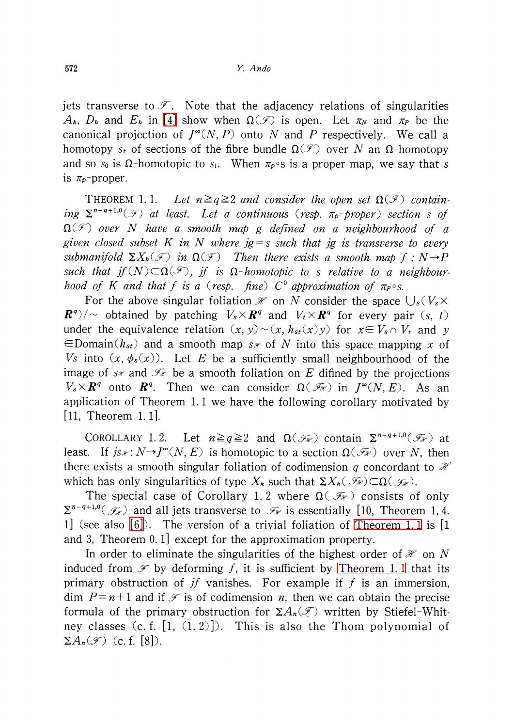jets transverse to  $\mathscr{F}$ . Note that the adjacency relations of singularities  $A_{k}$ ,  $D_{k}$  and  $E_{k}$  in [\[4\]](#page-7-0) show when  $\Omega(\mathcal{F})$  is open. Let  $\pi_{N}$  and  $\pi_{P}$  be the canonical projection of  $J^{\infty}(N, P)$  onto N and P respectively. We call a homotopy s<sub>t</sub> of sections of the fibre bundle  $\Omega(\mathscr{F})$  over N an  $\Omega$ -homotopy and so  $s_{0}$  is  $\Omega$ -homotopic to  $s_{1}$ . When  $\pi_{p}\circ s$  is a proper map, we say that  $s$ is  $\pi_{p}$ -proper.

<span id="page-1-0"></span>THEOREM 1.1. Let  $n\geq q\geq 2$  and consider the open set  $\Omega(\mathcal{F})$  containing  $\Sigma^{n-q+1,0}(\mathcal{F})$  at least. Let a continuous (resp.  $\pi_{p^{-}}$ proper) section s of  $\Omega(\mathcal{F})$  over N have a smooth map g defined on a neighbourhood of a given closed subset K in N where  $ig = s$  such that ig is transverse to every submanifold  $\Sigma X_{k}(\mathcal{F})$  in  $\Omega(\mathcal{F})$  Then there exists a smooth map  $f : N \rightarrow P$ <br>such that if  $(N) \subset \Omega(\mathcal{F})$  is a  $Q$  housetable to a subtlematic manipulation such that  $jf(N)\subset\Omega(\mathscr{F})$ ,  $jf$  is  $\Omega$ -homotopic to s relative to a neighbourhood of K and that f is a (resp. fine)  $C^{0}$  approximation of  $\pi_{P} \circ s$ .

For the above singular foliation  $\mathcal{H}$  on N consider the space  $\bigcup_{s} (V_{s}\times$  $\mathbf{R}^{q})/\sim$  obtained by patching  $V_{s}\times \mathbf{R}^{q}$  and  $V_{t}\times \mathbf{R}^{q}$  for every pair (s, t) under the equivalence relation  $(x, y) \sim (x, h_{st}(x)y)$  for  $x \in V_{s} \cap V_{t}$  and y  $\in$ Domain( $h_{st}$ ) and a smooth map s is of N into this space mapping x of Vs into  $(x, \phi_{s}(x))$ . Let E be a sufficiently small neighbourhood of the image of s<sub>\*</sub> and  $\mathcal{F}_{\mathcal{F}}$  be a smooth foliation on E difined by the projections  $V_{s}\times \boldsymbol{R}^{q}$  onto  $\boldsymbol{R}^{q}$ . Then we can consider  $\Omega(\mathscr{I}_{\mathscr{H}})$  in  $J^{\infty}(N, E)$ . As an application of Theorem 1. <sup>1</sup> we have the following corollary motivated by [11, Theorem 1.1].

COROLLARY 1.2. Let  $n\geq q\geq 2$  and  $\Omega(\mathcal{F}_{\mathcal{H}})$  contain  $\Sigma^{n-q+1,0}(\mathcal{F}_{\mathcal{H}})$  at least. If  $j_{\mathcal{S} \mathscr{F}} : N \rightarrow J^{\infty}(N, E)$  is homotopic to a section  $\Omega(\mathscr{F}_{\mathscr{F}})$  over N, then there exists a smooth singular foliation of codimension q concordant to  $\mathcal{H}$ which has only singularities of type  $X_{k}$  such that  $\mathsf{\Sigma} X_{k}(\mathscr{F}_{\mathscr{R}})\subset\Omega(\mathscr{F}_{\mathscr{R}}).$ 

The special case of Corollary 1.2 where  $\Omega(\mathcal{F}_{\mathcal{H}})$  consists of only  $\Sigma^{n-q+1,0}(\mathcal{F}_{\mathcal{H}}^{\mathcal{F}})$  and all jets transverse to  $\mathcal{F}_{\mathcal{H}}$  is essentially [10, Theorem 1, 4. 1] (see also [\[6\]\)](#page-7-5). The version of a trivial foliation of [Theorem](#page-1-0) 1. <sup>1</sup> is [1 and 3, Theorem 0. 1] except for the approximation property.

In order to eliminate the singularities of the highest order of  $\mathcal{H}$  on N induced from  $\mathcal F$  by deforming f, it is sufficient by [Theorem](#page-1-0) 1.1 that its primary obstruction of  $if$  vanishes. For example if  $f$  is an immersion, dim  $P=n+1$  and if  $\mathcal{F}$  is of codimension n, then we can obtain the precise formula of the primary obstruction for  $\Sigma A_{n}(\mathcal{F})$  written by Stiefel-Whitney classes  $(c. f. [1, (1, 2)])$ . This is also the Thom polynomial of  $\Sigma A_{n}(\mathcal{F})$  (c. f. [8]).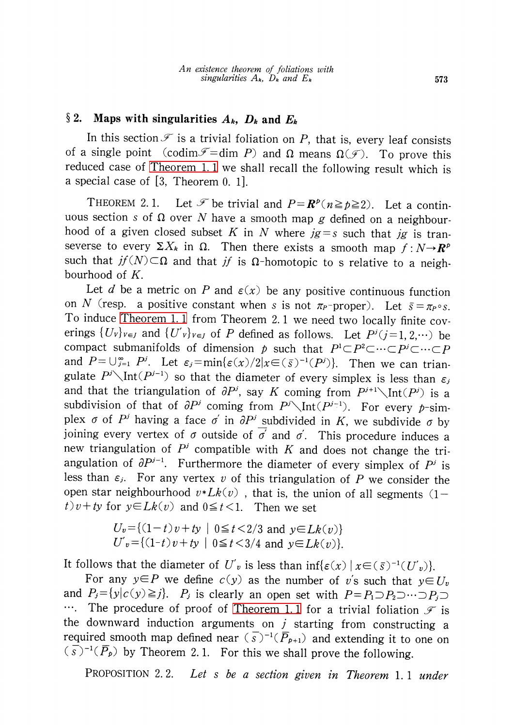# §2. Maps with singularities  $A_{k}$ ,  $D_{k}$  and  $E_{k}$

In this section  $\mathcal F$  is a trivial foliation on P, that is, every leaf consists of a single point (codim  $\mathscr{F}$  = dim P) and  $\Omega$  means  $\Omega(\mathscr{F})$ . To prove this reduced case of [Theorem](#page-1-0) 1. <sup>1</sup> we shall recall the following result which is a special case of [3, Theorem 0. 1].

THEOREM 2.1. Let  $\mathcal{F}$  be trivial and  $P=R^{p}(n\geq p\geq 2)$ . Let a continuous section s of  $\Omega$  over N have a smooth map g defined on a neighbourhood of a given closed subset K in N where  $j = s$  such that  $j$  is transeverse to every  $\Sigma X_{k}$  in  $\Omega$ . Then there exists a smooth map  $f: N \rightarrow \mathbb{R}^{p}$ such that  $jf(N)\subset\Omega$  and that  $jf$  is  $\Omega$ -homotopic to s relative to a neighbourhood of K.

Let d be a metric on P and  $\varepsilon(x)$  be any positive continuous function on N (resp. a positive constant when s is not  $\pi_{P}$ -proper). Let  $\bar{s}=\pi_{P}\circ s$ . To induce [Theorem](#page-1-0) 1. <sup>1</sup> from Theorem 2. <sup>1</sup> we need two locally finite coverings  $\{ U_{V}\}_{V\in J}$  and  $\{ U_{V}\}_{V\in J}$  of P defined as follows. Let  $P^{j}(j=1,2,\cdots)$  be compact submanifolds of dimension p such that  $P^{1}\subset P^{2}\subset\cdots\subset P^{j}\subset\cdots\subset P$ and  $P = \bigcup_{j=1}^{\infty} P^{j}$ . Let  $\varepsilon_{j}=\min\{\varepsilon(x)/2|x \in(\overline{s})^{-1}(P^{j})\}$ . Then we can triangulate  $P^{j}\backslash Int(P^{j-1})$  so that the diameter of every simplex is less than  $\varepsilon_{j}$ and that the triangulation of  $\partial P^{j}$ , say  $K$  coming from  $P^{j+1}\diagdown \text{Int}(P^{j})$  is a subdivision of that of  $\partial P^{j}$  coming from  $P^{j}\diagdown \text{Int}(P^{j-1})$ . For every p-simplex  $\sigma$  of  $P^{j}$  having a face  $\sigma'$  in  $\partial P^{j}$  subdivided in K, we subdivide  $\sigma$  by joining every vertex of  $\sigma$  outside of  $\overline{\sigma}'$  and  $\sigma'$ . This procedure induces a new triangulation of  $P^{j}$  compatible with K and does not change the triangulation of  $\partial P^{j-1}$ . Furthermore the diameter of every simplex of  $P^{j}$  is less than  $\varepsilon_{j}$ . For any vertex v of this triangulation of P we consider the open star neighbourhood  $v * Lk(v)$ , that is, the union of all segments (1t)v+ty for  $y \in Lk(v)$  and  $0 \leq t < 1$ . Then we set

$$
U_v = \{(1-t)v + ty \mid 0 \le t < 2/3 \text{ and } y \in Lk(v)\}
$$
  

$$
U'_v = \{(1-t)v + ty \mid 0 \le t < 3/4 \text{ and } y \in Lk(v)\}.
$$

It follows that the diameter of  $U_{v}'$  is less than  $\inf\{\varepsilon(x)\,|\,x\!\in(\,\overline{s}\,)^{-1}( U_{v}')\}$ .

For any  $y\in P$  we define  $c(y)$  as the number of v's such that  $y\in U_{v}$ and  $P_{j}=\{y|c(y)\geq j\}$ .  $P_{j}$  is clearly an open set with  $P=P_{1}\supset P_{2}\supset\cdots\supset P_{j}\supset$  $\ldots$  The procedure of proof of [Theorem](#page-1-0) 1.1 for a trivial foliation  $\mathscr{F}$  is the downward induction arguments on  $j$  starting from constructing a required smooth map defined near  $(\overline{s})^{-1}(\overline{P}_{p+1})$  and extending it to one on  $(\overline{s})^{-1}(\overline{P}_{p})$  by Theorem 2. 1. For this we shall prove the following.

<span id="page-2-0"></span>PROPOSITION 2.2. Let s be a section given in Theorem 1.1 under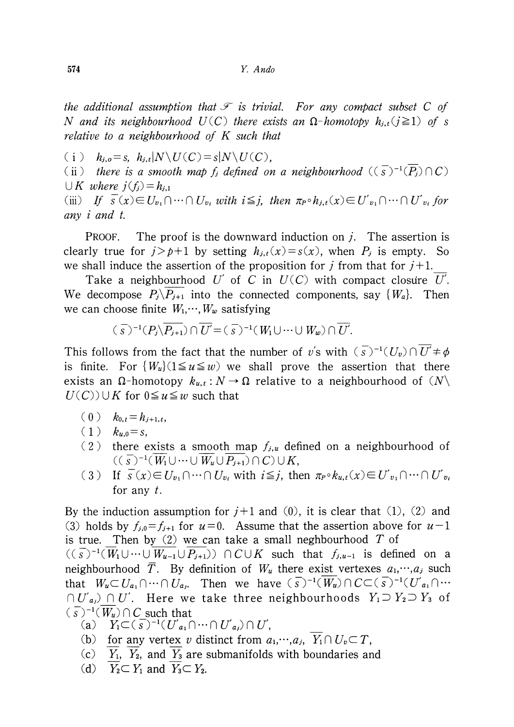the additional assumption that  $\mathcal{F}$  is trivial. For any compact subset C of N and its neighbourhood  $U(C)$  there exists an  $\Omega$ -homotopy  $h_{j,t}(j\geq 1)$  of s relative to a neighbourhood of K such that

(i)  $h_{j,o}=s$ ,  $h_{j,t}|N\backslash U(C)=s|N\backslash U(C)$ ,

(ii) there is a smooth map  $f_{j}$  defined on a neighbourhood  $((\overline{s})^{-1}(\overline{P_{j}})\cap C)$  $\bigcup K$  where  $j(f_j) = h_{j,1}$ 

(iii) If  $\overline{s}(x) \in U_{v_{1}}\cap\dots\cap U_{v_{i}}$  with  $i\leq j$ , then  $\pi_{P}\circ h_{j,t}(x)\in U'_{v_{1}}\cap\dots\cap U'_{v_{i}}$  for any i and t.

PROOF. The proof is the downward induction on  $i$ . The assertion is clearly true for  $j > p+1$  by setting  $h_{j,t}(x) = s(x)$ , when  $P_{j}$  is empty. So we shall induce the assertion of the proposition for j from that for  $j+1$ .

Take a neighbourhood U' of C in  $U(C)$  with compact closure U'. We decompose  $P_{j}\backslash P_{j+1}$  into the connected components, say  $\{ W_{a}\}.$ . Then we can choose finite  $W_{1},\cdots,W_{w}$  satisfying

$$
(\overline{s})^{-1}(P_j\backslash\overline{P_{j+1}})\cap\overline{U}=(\overline{s})^{-1}(W_1\cup\cdots\cup W_w)\cap\overline{U}.
$$

This follows from the fact that the number of v's with  $(\overline{s})^{-1} ( U_{v})\cap U'\neq\phi$ is finite. For  $\{ W_{u}\}(1\leq u\leq w)$  we shall prove the assertion that there exists an  $\Omega$ -homotopy  $k_{u,t} : N \to \Omega$  relative to a neighbourhood of  $(N\setminus$  $U(C)\cup K$  for  $0\leq u\leq w$  such that

- $(0)$   $k_{0,t}=h_{j+1,t}$
- $(1)$   $k_{u,0}=s$ ,
- (2) there exists a smooth map  $f_{j,u}$  defined on a neighbourhood of  $((\overline{s})^{-1}(\overline{W_{1}}\cup\cdots\cup\overline{W_{u}}\cup P_{j+1})\cap C)\cup K,$
- (3) If  $\overline{s}(x) \in U_{v_{1}}\cap\cdots\cap U_{v_{i}}$  with  $i\leq j$ , then  $\pi_{P}\circ k_{u,t}(x)\in U_{v_{1}}'\cap\cdots\cap U_{v_{i}}'$ for any  $t$ .

By the induction assumption for  $j+1$  and (0), it is clear that (1), (2) and (3) holds by  $f_{j,0}=f_{j+1}$  for  $u=0$ . Assume that the assertion above for  $u-1$ is true. Then by (2) we can take a small neghbourhood  $T$  of

 $((\overline{s})^{-1}(\overline{W}_{1}\cup\cdots\cup\overline{W_{u-1}}\cup P_{j+1}))\cap C\cup K$  such that  $f_{j,u-1}$  is defined on a neighbourhood  $\overline{T}$ . By definition of  $W_{u}$  there exist vertexes  $a_{1},\dots,a_{j}$  such that  $W_{u}\subset U_{a_{1}}\cap\cdots\cap U_{a_{j}}$ . Then we have  $(\overline{s})^{-1}(\overline{W_{u}})\cap C\subset(\overline{s})^{-1} ( U_{a_{1}}'\cap\cdots$  $\cap U'_{a_{j}}\cap U'$ . Here we take three neighbourhoods  $Y_{1}\supset Y_{2}\supset Y_{3}$  of  $(\overline{s})^{-1}(\overline{W_{u}})\cap C$  such that

- (a)  $Y_{1}\subset (\overline{s})^{-1}(U'_{a_{1}}\cap\cdots\cap U'_{a_{J}})\cap U'$
- (b) for any vertex v distinct from  $a_{1},\dots,a_{j} ,\overline{Y_{1}}\cap U_{v}\subset T$ ,
- $(c)$   $Y_{1}$ ,  $Y_{2}$ , and  $Y_{3}$  are submanifolds with boundaries and
- (d)  $Y_{2}\subset Y_{1}$  and  $Y_{3}\subset Y_{2}$ .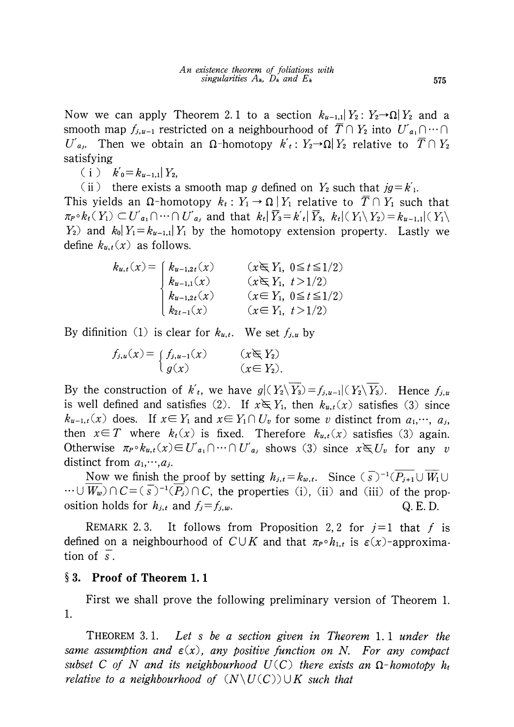Now we can apply Theorem 2.1 to a section  $k_{u-1,1}|Y_{2} : Y_{2} \rightarrow \Omega|Y_{2}$  and a smooth map  $f_{j,u-1}$  restricted on a neighbourhood of  $\overline{T}\cap Y_{2}$  into  $U'_{a_{1}}\cap\cdots\cap Y_{n}$  $U^{'}{}_{a_{j}}.$  Then we obtain an  $\Omega$ -homotopy  $k^{'}{}_{t}: Y_{2} {\rightarrow} \Omega|Y_{2}$  relative to  $\overline{T}\cap Y_{2}$ satisfying

(i)  $k'_{0} = k_{u-1,1}|Y_{2}$ 

(ii) there exists a smooth map g defined on  $Y_{2}$  such that  $jg=k'_{1}$ .

This yields an  $\Omega$ -homotopy  $k_{t} : Y_{1} \rightarrow \Omega | Y_{1}$  relative to  $\overline{T} \cap Y_{1}$  such that  $\pi_{P}\circ k_{t} ( Y_{1})\subset U'_{a_{1}}\cap\cdots\cap U'_{a_{j}}$  and that  $k_{t}|\overline{Y}_{3}=k_{t}'| \overline{Y}_{3},\ k_{t}|( Y_{1}\setminus Y_{2})=k_{u-1,1}|(Y_{1}\setminus Y_{1})$  $Y_{2}$ ) and  $k_{0}|Y_{1}=k_{u-1,1}|Y_{1}$  by the homotopy extension property. Lastly we define  $k_{u,t}(x)$  as follows.

> $k_{u,t}(x) = [k_{u-1,2t}(x) \quad (x \in Y_1, 0 \leq t \leq 1/2)]$  $k_{u-1,1}(x) \qquad (x\in Y_{1}, t>1/2)$  $k_{u-1,2t}(x) \qquad (x\in Y_{1},0\leq t\leq 1/2)$  $k_{2t-1}(x) \hspace{1cm} (x \in Y_{1}, t>1/2)$

By difinition (1) is clear for  $k_{u,t}$ . We set  $f_{j,u}$  by

 $f_{j,j}u(x)$  (x  $\rightarrow$  1),  $u-1(x)$  (x  $\rightarrow$  12) .

By the construction of  $k'_{t}$ , we have  $g|(Y_2 \setminus Y_3) = f_{j,u-1}|(Y_2 \setminus Y_3)$ . Hence  $f_{j,u}$ is well defined and satisfies (2). If  $x \in Y_{1}$ , then  $k_{u,t}(x)$  satisfies (3) since  $k_{u-1,t}(x)$  does. If  $x\in Y_{1}$  and  $x\in Y_{1}\cap U_{v}$  for some v distinct from  $a_{1},\dots, a_{j}$ then  $x\in T$  where  $k_{t}(x)$  is fixed. Therefore  $k_{u,t}(x)$  satisfies (3) again. Otherwise  $\pi_{P}\circ k_{u,t}(x)\in U'_{a_{1}}\cap\cdots\cap U'_{a_{j}}$  shows (3) since  $x\in U_{v}$  for any v distinct from  $a_{1},\cdots,a_{j}$ .

Now we finish the proof by setting  $h_{j,t}=k_{w,t}$ . Since  $(\overline{S})^{-1}(\overline{P_{j+1}}\cup\overline{W_{1}}\cup\overline{W_{2}})$  $\cdots \cup W_{w}$ )  $\cap$   $C = (\overline{s})^{-1}(P_{j})\cap C$ , the properties (i), (ii) and (iii) of the proposition holds for  $h_{j,t}$  and  $f_{j}=f_{j,w}$ . . Q. E. D.

REMARK 2.3. It follows from Proposition 2, 2 for  $j=1$  that f is defined on a neighbourhood of  $C\cup K$  and that  $\pi_{P}\circ h_{1,t}$  is  $\varepsilon(x)$ -approximation of  $\overline{s}$ .

## $\S 3.$  Proof of Theorem 1.1

First we shall prove the following preliminary version of Theorem 1. 1.

<span id="page-4-0"></span>THEOREM 3. 1. Let s be a section given in Theorem 1. <sup>1</sup> under the same assumption and  $\varepsilon(x)$ , any positive function on N. For any compact subset C of N and its neighbourhood  $U(C)$  there exists an  $\Omega$ -homotopy  $h_{t}$ relative to a neighbourhood of  $(N\setminus U(C))\cup K$  such that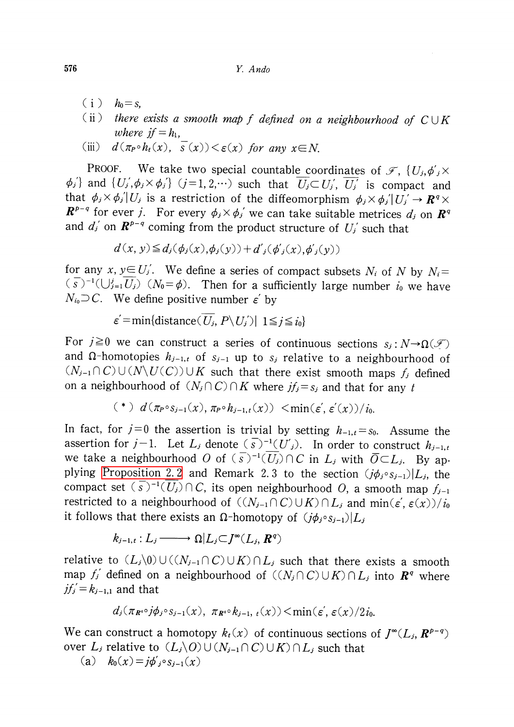- $(i)$   $h_{0}=s$ ,
- (ii) there exists a smooth map f defined on a neighbourhood of  $C\cup K$ <br>where if  $-k$ where  $if=h_{1}$ ,
- (iii)  $d(\pi_{P}\circ h_{t}(x),\overline{s}(x))<\epsilon(x)$  for any  $x\in N$ .

PROOF. We take two special countable coordinates of  $\mathscr{F}$ ,  $\{ U_{j},\phi_{j}'\times\}$  $\phi_{j}$  and  $\{ U_{j}',\phi_{j}\times\phi_{j}'\}$   $(j=1,2,\cdots)$  such that  $U_{j}\subset U_{j}',$   $\overline{U_{j}}'$  is compact and that  $\phi_{j}\times\phi_{j}'|U_{j}$  is a restriction of the diffeomorphism  $\phi_{j}\times\phi_{j}'|U_{j}'\rightarrow \mathbf{R}^{q}\times$  $\mathbf{R}^{p-q}$  for ever j. For every  $\phi_{j}\times\phi_{j}$  we can take suitable metrices  $d_{j}$  on  $\mathbf{R}^{q}$ and  $d_{j}$ ' on  $\mathbf{R}^{p-q}$  coming from the product structure of  $U_{j}$ ' such that

$$
d(x, y) \leq d_j(\phi_j(x), \phi_j(y)) + d'_j(\phi'_j(x), \phi'_j(y))
$$

for any x,  $y \in U_{j}'$ . We define a series of compact subsets  $N_{i}$  of N by  $N_{i}=$ (s)<sup>-1</sup>( $\bigcup_{j=1}^{j}U_{j}$ ) ( $N_{0}=\phi$ ). Then for a sufficiently large number  $i_{0}$  we have  $N_{i_{0}}{\supseteq} C.$  We define positive number  $\bm{\varepsilon}^{'}$  by

$$
\varepsilon' = \min\{\text{distance}(\,U_j, \, P \setminus U_j') \,|\, 1 \leq j \leq i_0\}
$$

For  $j\geq 0$  we can construct a series of continuous sections  $s_{j}:N\rightarrow\Omega(\mathcal{F})$ and  $\Omega$ -homotopies  $h_{j-1,t}$  of  $s_{j-1}$  up to  $s_{j}$  relative to a neighbourhood of  $(N_{j-1}\cap C)\cup(N\setminus U(C))\cup K$  such that there exist smooth maps  $f_{j}$  defined on a neighbourhood of  $(N_{j}\cap C)\cap K$  where  $jf_{j}=s_{j}$  and that for any t

$$
(*) d(\pi_{P} \circ s_{j-1}(x), \pi_{P} \circ h_{j-1,t}(x)) < \min(\varepsilon', \varepsilon'(x))/i_0.
$$

In fact, for  $j=0$  the assertion is trivial by setting  $h_{-1,t}=s_{0}$ . Assume the assertion for  $j-1$ . Let  $L_{j}$  denote  $(\overline{s})^{-1} ( U_{j})$ . In order to construct  $h_{j-1,t}$ we take a neighbourhood  $O$  of  $(\overline{s})^{-1}(\overline{U_{j}})\cap C$  in  $L_{j}$  with  $\overline{O}\subset L_{j}$ . By ap-plying [Proposition](#page-2-0) 2.2 and Remark 2.3 to the section  $(j\phi_{j} \circ s_{j-1})|L_{j}$ , the compact set  $(\overline{s})^{-1}(\overline{U_{j}})\cap C$ , its open neighbourhood  $O$ , a smooth map  $f_{j-1}$ restricted to a neighbourhood of  $((N_{j-1}\cap C)\cup K)\cap L_{j}$  and  $\min(\epsilon', \epsilon(x))/i_{0}$ it follows that there exists an  $\Omega$ -homotopy of  $(j\phi_{j} \circ s_{j-1})|L_{j}$ 

 $k_{j-1,t} : L_{j} \longrightarrow \Omega|L_{j}\subset J^{\infty}(L_{j}, R^{q})$ 

relative to  $(L_{j}\backslash 0)\cup((N_{j-1}\cap C)\cup K)\cap L_{j}$  such that there exists a smooth map  $f_{j}'$  defined on a neighbourhood of  $((N_{j}\cap C)\cup K)\cap L_{j}$  into  $\mathbb{R}^{q}$  where  $j f'_{j} = k_{j-1,1}$  and that

$$
d_j(\pi_{\mathbf{R}^{*0}}j\phi_j\circ s_{j-1}(x), \ \pi_{\mathbf{R}^{*0}}k_{j-1}, \ i(x))\leq \min(\varepsilon', \varepsilon(x)/2i_0.
$$

We can construct a homotopy  $k_{t}(x)$  of continuous sections of  $J^{\infty}(L_{j}, \mathbb{R}^{p-q})$ over  $L_{j}$  relative to  $(L_{j}\backslash O)\cup(N_{j-1}\cap C)\cup K)\cap L_{j}$  such that

(a)  $k_{0}(x)=j\phi_{j}'\circ s_{j-1}(x)$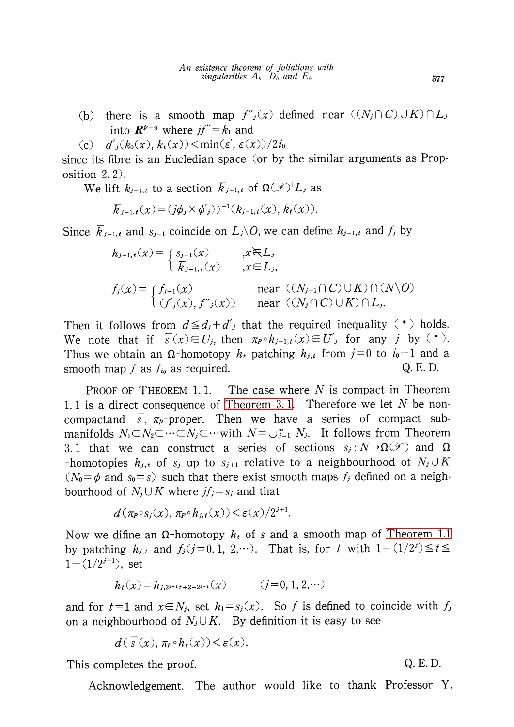- (b) there is a smooth map  $f_{j}'(x)$  defined near  $((N_{j}\cap C)\cup K)\cap L_{j}$ into  $\mathbf{R}^{p-q}$  where  $j f^{r}=k_{1}$  and
- (c)  $d'_{j}(k_{0}(x), k_{t}(x))< \min(\epsilon', \epsilon(x))/2i_{0}$

since its fibre is an Eucledian space (or by the similar arguments as Proposition 2. 2).

We lift  $k_{j-1,t}$  to a section  $\overline{k}_{j-1,t}$  of  $\Omega(\mathscr{F})|L_{j}$  as

$$
\overline{k}_{j-1,t}(x) = (j\phi_j \times \phi'_{j}))^{-1}(k_{j-1,t}(x), k_t(x)).
$$

Since  $\overline{k}_{j-1,t}$  and  $s_{j-1}$  coincide on  $L_{j}\backslash O$ , we can define  $h_{j-1,t}$  and  $f_{j}$  by

$$
h_{j-1,t}(x) = \begin{cases} s_{j-1}(x) & , x \in L_j \\ \overline{k}_{j-1,t}(x) & , x \in L_j, \end{cases}
$$
  

$$
f_j(x) = \begin{cases} f_{j-1}(x) & \text{near } ((N_{j-1} \cap C) \cup K) \cap (N \setminus O) \\ (f'_j(x), f''_j(x)) & \text{near } ((N_j \cap C) \cup K) \cap L_j. \end{cases}
$$

Then it follows from  $d\leq d_{j}+d_{j}'$  that the required inequality (\*) holds. We note that if  $\overline{s}(x) \in \overline{U_{j}}$ , then  $\pi_{P} \circ h_{j-1,t}(x) \in U'_{j}$  for any j by (\*). Thus we obtain an  $\Omega$ -homotopy  $h_{t}$  patching  $h_{j,t}$  from  $j=0$  to  $i_{0}-1$  and a smooth map  $f$  as  $f_{i_0}$  as required.  $Q. E. D.$ 

PROOF OF THEOREM 1.1. The case where  $N$  is compact in Theorem 1.1 is a direct consequence of [Theorem](#page-4-0) 3.1. Therefore we let  $N$  be noncompactand  $\overline{s}$ ,  $\pi_{p}$ -proper. Then we have a series of compact submanifolds  $N_{1} \subset N_{2} \subset\cdots\subset N_{j}\subset\cdots$  with  $N\!=\!\bigcup_{j=1}^{\infty}\ N_{j}.$  It follows from Theorem 3.1 that we can construct a series of sections  $s_{j} : N \rightarrow \Omega(\mathcal{F})$  and  $\Omega$ -homotopies  $h_{j,t}$  of  $s_{j}$  up to  $s_{j+1}$  relative to a neighbourhood of  $N_{j}\cup K$  $(N_{0}=\phi$  and  $s_{0}=s$ ) such that there exist smooth maps  $f_{j}$  defined on a neighbourhood of  $N_{j}\cup K$  where  $jf_{j}=s_{j}$  and that

$$
d(\pi_{P}\circ s_{j}(x), \pi_{P}\circ h_{j,t}(x)) < \varepsilon(x)/2^{j+1}.
$$

Now we difine an  $\Omega$ -homotopy  $h_{t}$  of s and a smooth map of [Theorem](#page-1-0) 1.1 by patching  $h_{j,t}$  and  $f_{j}(j=0, 1, 2,\cdots)$ . That is, for t with  $1-(1/2^{j})\leq t\leq$  $1-(1/2^{j+1})$ , set

$$
h_t(x) = h_{j,2^{j+1}t+2-2^{j+1}}(x) \qquad (j=0,1,2,\cdots)
$$

and for  $t=1$  and  $x \in N_{j}$ , set  $h_{1}=s_{j}(x)$ . So f is defined to coincide with  $f_{j}$ on a neighbourhood of  $N_{j}\cup K$ . By definition it is easy to see

$$
d(\overline{s}(x), \pi_P \circ h_t(x)) \leq \varepsilon(x).
$$

This completes the proof.  $Q. E. D.$ 

Acknowledgement. The author would like to thank Professor Y.